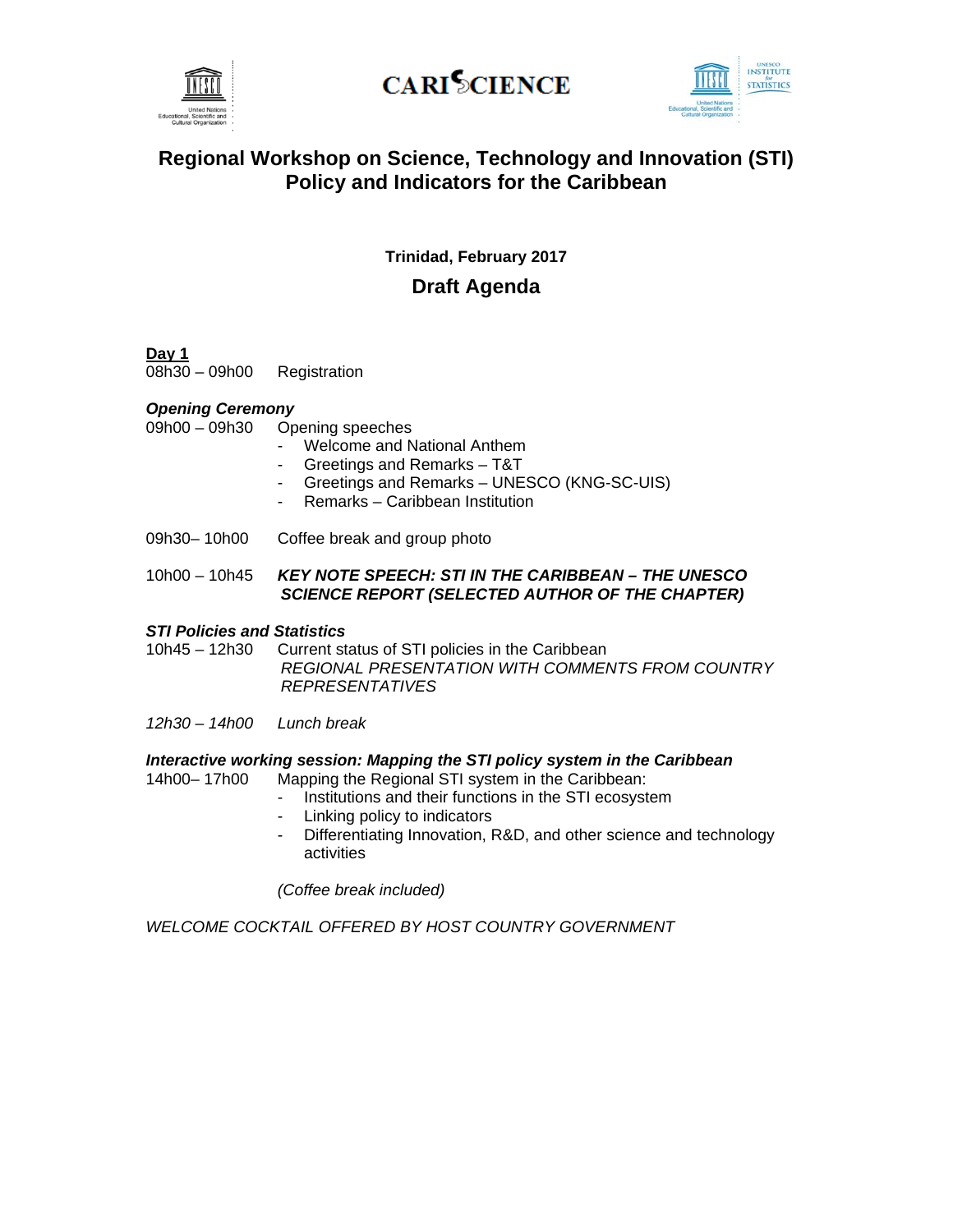

# **CARISCIENCE**



# **Regional Workshop on Science, Technology and Innovation (STI) Policy and Indicators for the Caribbean**

# **Trinidad, February 2017**

# **Draft Agenda**

**Day 1**  08h30 – 09h00 Registration

## *Opening Ceremony*

09h00 – 09h30 Opening speeches

- Welcome and National Anthem
- Greetings and Remarks T&T
- Greetings and Remarks UNESCO (KNG-SC-UIS)
- Remarks Caribbean Institution
- 09h30– 10h00 Coffee break and group photo

#### 10h00 – 10h45 *KEY NOTE SPEECH: STI IN THE CARIBBEAN – THE UNESCO SCIENCE REPORT (SELECTED AUTHOR OF THE CHAPTER)*

#### *STI Policies and Statistics*

10h45 – 12h30 Current status of STI policies in the Caribbean *REGIONAL PRESENTATION WITH COMMENTS FROM COUNTRY REPRESENTATIVES* 

*12h30 – 14h00 Lunch break* 

#### *Interactive working session: Mapping the STI policy system in the Caribbean*

14h00– 17h00 Mapping the Regional STI system in the Caribbean:

- Institutions and their functions in the STI ecosystem
- Linking policy to indicators
- Differentiating Innovation, R&D, and other science and technology activities

 *(Coffee break included)* 

*WELCOME COCKTAIL OFFERED BY HOST COUNTRY GOVERNMENT*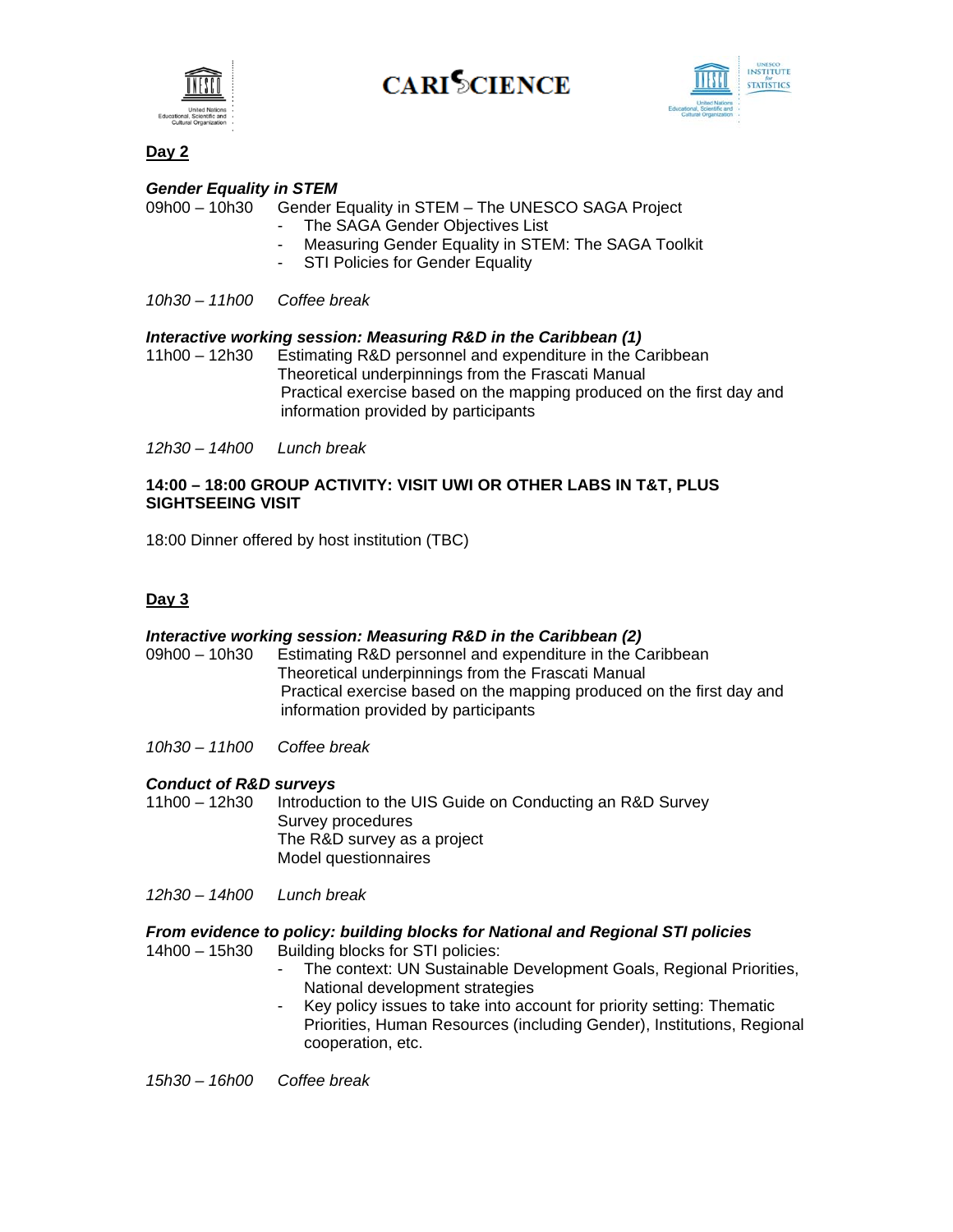

**CARISCIENCE** 



### **Day 2**

#### *Gender Equality in STEM*

09h00 – 10h30 Gender Equality in STEM – The UNESCO SAGA Project

- The SAGA Gender Objectives List
- Measuring Gender Equality in STEM: The SAGA Toolkit
- **STI Policies for Gender Equality**
- *10h30 11h00 Coffee break*

#### *Interactive working session: Measuring R&D in the Caribbean (1)*

11h00 – 12h30 Estimating R&D personnel and expenditure in the Caribbean Theoretical underpinnings from the Frascati Manual Practical exercise based on the mapping produced on the first day and information provided by participants

*12h30 – 14h00 Lunch break* 

#### **14:00 – 18:00 GROUP ACTIVITY: VISIT UWI OR OTHER LABS IN T&T, PLUS SIGHTSEEING VISIT**

18:00 Dinner offered by host institution (TBC)

## **Day 3**

#### *Interactive working session: Measuring R&D in the Caribbean (2)*

- 09h00 10h30 Estimating R&D personnel and expenditure in the Caribbean Theoretical underpinnings from the Frascati Manual Practical exercise based on the mapping produced on the first day and information provided by participants
- *10h30 11h00 Coffee break*

#### *Conduct of R&D surveys*

- 11h00 12h30 Introduction to the UIS Guide on Conducting an R&D Survey Survey procedures The R&D survey as a project Model questionnaires
- *12h30 14h00 Lunch break*

# *From evidence to policy: building blocks for National and Regional STI policies*

14h00 – 15h30 Building blocks for STI policies:

- The context: UN Sustainable Development Goals, Regional Priorities, National development strategies
- Key policy issues to take into account for priority setting: Thematic Priorities, Human Resources (including Gender), Institutions, Regional cooperation, etc.

*15h30 – 16h00 Coffee break*